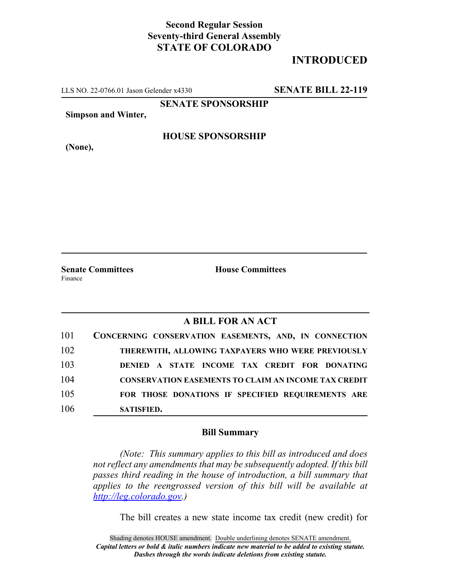## **Second Regular Session Seventy-third General Assembly STATE OF COLORADO**

## **INTRODUCED**

LLS NO. 22-0766.01 Jason Gelender x4330 **SENATE BILL 22-119**

**SENATE SPONSORSHIP**

**Simpson and Winter,**

**(None),**

**HOUSE SPONSORSHIP**

**Senate Committees House Committees** Finance

## **A BILL FOR AN ACT**

| 101 | CONCERNING CONSERVATION EASEMENTS, AND, IN CONNECTION       |
|-----|-------------------------------------------------------------|
| 102 | THEREWITH, ALLOWING TAXPAYERS WHO WERE PREVIOUSLY           |
| 103 | DENIED A STATE INCOME TAX CREDIT FOR DONATING               |
| 104 | <b>CONSERVATION EASEMENTS TO CLAIM AN INCOME TAX CREDIT</b> |
| 105 | FOR THOSE DONATIONS IF SPECIFIED REQUIREMENTS ARE           |
| 106 | <b>SATISFIED.</b>                                           |

## **Bill Summary**

*(Note: This summary applies to this bill as introduced and does not reflect any amendments that may be subsequently adopted. If this bill passes third reading in the house of introduction, a bill summary that applies to the reengrossed version of this bill will be available at http://leg.colorado.gov.)*

The bill creates a new state income tax credit (new credit) for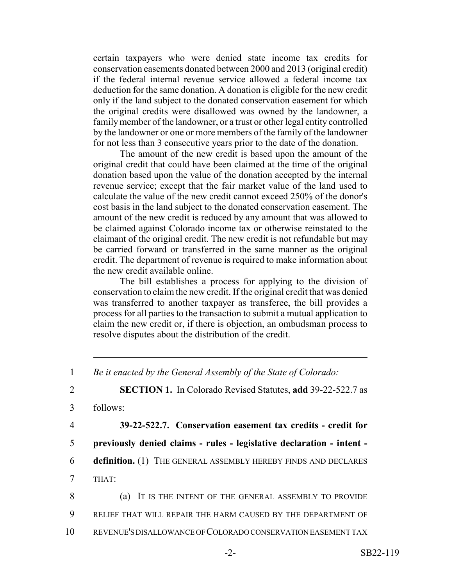certain taxpayers who were denied state income tax credits for conservation easements donated between 2000 and 2013 (original credit) if the federal internal revenue service allowed a federal income tax deduction for the same donation. A donation is eligible for the new credit only if the land subject to the donated conservation easement for which the original credits were disallowed was owned by the landowner, a family member of the landowner, or a trust or other legal entity controlled by the landowner or one or more members of the family of the landowner for not less than 3 consecutive years prior to the date of the donation.

The amount of the new credit is based upon the amount of the original credit that could have been claimed at the time of the original donation based upon the value of the donation accepted by the internal revenue service; except that the fair market value of the land used to calculate the value of the new credit cannot exceed 250% of the donor's cost basis in the land subject to the donated conservation easement. The amount of the new credit is reduced by any amount that was allowed to be claimed against Colorado income tax or otherwise reinstated to the claimant of the original credit. The new credit is not refundable but may be carried forward or transferred in the same manner as the original credit. The department of revenue is required to make information about the new credit available online.

The bill establishes a process for applying to the division of conservation to claim the new credit. If the original credit that was denied was transferred to another taxpayer as transferee, the bill provides a process for all parties to the transaction to submit a mutual application to claim the new credit or, if there is objection, an ombudsman process to resolve disputes about the distribution of the credit.

2 **SECTION 1.** In Colorado Revised Statutes, **add** 39-22-522.7 as

3 follows:

 **39-22-522.7. Conservation easement tax credits - credit for previously denied claims - rules - legislative declaration - intent - definition.** (1) THE GENERAL ASSEMBLY HEREBY FINDS AND DECLARES 7 THAT:

8 (a) IT IS THE INTENT OF THE GENERAL ASSEMBLY TO PROVIDE 9 RELIEF THAT WILL REPAIR THE HARM CAUSED BY THE DEPARTMENT OF 10 REVENUE'S DISALLOWANCE OF COLORADO CONSERVATION EASEMENT TAX

<sup>1</sup> *Be it enacted by the General Assembly of the State of Colorado:*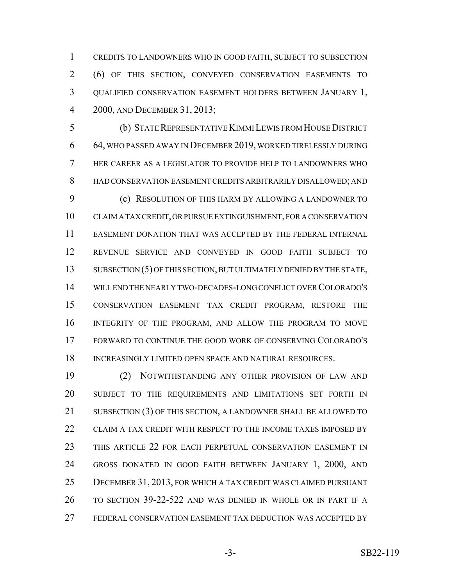CREDITS TO LANDOWNERS WHO IN GOOD FAITH, SUBJECT TO SUBSECTION (6) OF THIS SECTION, CONVEYED CONSERVATION EASEMENTS TO QUALIFIED CONSERVATION EASEMENT HOLDERS BETWEEN JANUARY 1, 2000, AND DECEMBER 31, 2013;

 (b) STATE REPRESENTATIVE KIMMI LEWIS FROM HOUSE DISTRICT 64, WHO PASSED AWAY IN DECEMBER 2019, WORKED TIRELESSLY DURING HER CAREER AS A LEGISLATOR TO PROVIDE HELP TO LANDOWNERS WHO HAD CONSERVATION EASEMENT CREDITS ARBITRARILY DISALLOWED; AND (c) RESOLUTION OF THIS HARM BY ALLOWING A LANDOWNER TO CLAIM A TAX CREDIT, OR PURSUE EXTINGUISHMENT, FOR A CONSERVATION EASEMENT DONATION THAT WAS ACCEPTED BY THE FEDERAL INTERNAL REVENUE SERVICE AND CONVEYED IN GOOD FAITH SUBJECT TO 13 SUBSECTION (5) OF THIS SECTION, BUT ULTIMATELY DENIED BY THE STATE, WILL END THE NEARLY TWO-DECADES-LONG CONFLICT OVER COLORADO'S CONSERVATION EASEMENT TAX CREDIT PROGRAM, RESTORE THE INTEGRITY OF THE PROGRAM, AND ALLOW THE PROGRAM TO MOVE FORWARD TO CONTINUE THE GOOD WORK OF CONSERVING COLORADO'S 18 INCREASINGLY LIMITED OPEN SPACE AND NATURAL RESOURCES.

 (2) NOTWITHSTANDING ANY OTHER PROVISION OF LAW AND SUBJECT TO THE REQUIREMENTS AND LIMITATIONS SET FORTH IN SUBSECTION (3) OF THIS SECTION, A LANDOWNER SHALL BE ALLOWED TO CLAIM A TAX CREDIT WITH RESPECT TO THE INCOME TAXES IMPOSED BY THIS ARTICLE 22 FOR EACH PERPETUAL CONSERVATION EASEMENT IN GROSS DONATED IN GOOD FAITH BETWEEN JANUARY 1, 2000, AND DECEMBER 31, 2013, FOR WHICH A TAX CREDIT WAS CLAIMED PURSUANT TO SECTION 39-22-522 AND WAS DENIED IN WHOLE OR IN PART IF A FEDERAL CONSERVATION EASEMENT TAX DEDUCTION WAS ACCEPTED BY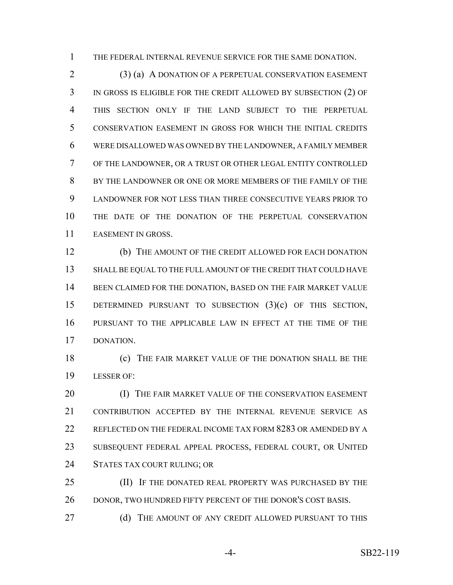THE FEDERAL INTERNAL REVENUE SERVICE FOR THE SAME DONATION.

 (3) (a) A DONATION OF A PERPETUAL CONSERVATION EASEMENT IN GROSS IS ELIGIBLE FOR THE CREDIT ALLOWED BY SUBSECTION (2) OF THIS SECTION ONLY IF THE LAND SUBJECT TO THE PERPETUAL CONSERVATION EASEMENT IN GROSS FOR WHICH THE INITIAL CREDITS WERE DISALLOWED WAS OWNED BY THE LANDOWNER, A FAMILY MEMBER OF THE LANDOWNER, OR A TRUST OR OTHER LEGAL ENTITY CONTROLLED BY THE LANDOWNER OR ONE OR MORE MEMBERS OF THE FAMILY OF THE LANDOWNER FOR NOT LESS THAN THREE CONSECUTIVE YEARS PRIOR TO THE DATE OF THE DONATION OF THE PERPETUAL CONSERVATION EASEMENT IN GROSS.

 (b) THE AMOUNT OF THE CREDIT ALLOWED FOR EACH DONATION SHALL BE EQUAL TO THE FULL AMOUNT OF THE CREDIT THAT COULD HAVE BEEN CLAIMED FOR THE DONATION, BASED ON THE FAIR MARKET VALUE DETERMINED PURSUANT TO SUBSECTION (3)(c) OF THIS SECTION, PURSUANT TO THE APPLICABLE LAW IN EFFECT AT THE TIME OF THE DONATION.

 (c) THE FAIR MARKET VALUE OF THE DONATION SHALL BE THE LESSER OF:

**(I) THE FAIR MARKET VALUE OF THE CONSERVATION EASEMENT**  CONTRIBUTION ACCEPTED BY THE INTERNAL REVENUE SERVICE AS REFLECTED ON THE FEDERAL INCOME TAX FORM 8283 OR AMENDED BY A SUBSEQUENT FEDERAL APPEAL PROCESS, FEDERAL COURT, OR UNITED STATES TAX COURT RULING; OR

25 (II) IF THE DONATED REAL PROPERTY WAS PURCHASED BY THE 26 DONOR, TWO HUNDRED FIFTY PERCENT OF THE DONOR'S COST BASIS.

27 (d) THE AMOUNT OF ANY CREDIT ALLOWED PURSUANT TO THIS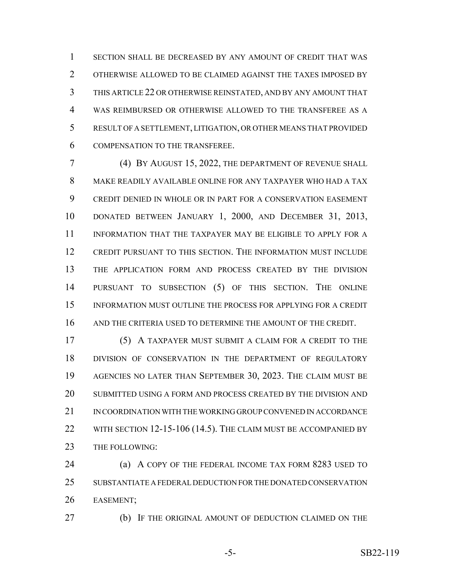SECTION SHALL BE DECREASED BY ANY AMOUNT OF CREDIT THAT WAS OTHERWISE ALLOWED TO BE CLAIMED AGAINST THE TAXES IMPOSED BY THIS ARTICLE 22 OR OTHERWISE REINSTATED, AND BY ANY AMOUNT THAT WAS REIMBURSED OR OTHERWISE ALLOWED TO THE TRANSFEREE AS A RESULT OF A SETTLEMENT, LITIGATION, OR OTHER MEANS THAT PROVIDED COMPENSATION TO THE TRANSFEREE.

 (4) BY AUGUST 15, 2022, THE DEPARTMENT OF REVENUE SHALL MAKE READILY AVAILABLE ONLINE FOR ANY TAXPAYER WHO HAD A TAX CREDIT DENIED IN WHOLE OR IN PART FOR A CONSERVATION EASEMENT DONATED BETWEEN JANUARY 1, 2000, AND DECEMBER 31, 2013, INFORMATION THAT THE TAXPAYER MAY BE ELIGIBLE TO APPLY FOR A CREDIT PURSUANT TO THIS SECTION. THE INFORMATION MUST INCLUDE THE APPLICATION FORM AND PROCESS CREATED BY THE DIVISION PURSUANT TO SUBSECTION (5) OF THIS SECTION. THE ONLINE INFORMATION MUST OUTLINE THE PROCESS FOR APPLYING FOR A CREDIT AND THE CRITERIA USED TO DETERMINE THE AMOUNT OF THE CREDIT.

 (5) A TAXPAYER MUST SUBMIT A CLAIM FOR A CREDIT TO THE DIVISION OF CONSERVATION IN THE DEPARTMENT OF REGULATORY AGENCIES NO LATER THAN SEPTEMBER 30, 2023. THE CLAIM MUST BE SUBMITTED USING A FORM AND PROCESS CREATED BY THE DIVISION AND IN COORDINATION WITH THE WORKING GROUP CONVENED IN ACCORDANCE 22 WITH SECTION 12-15-106 (14.5). THE CLAIM MUST BE ACCOMPANIED BY 23 THE FOLLOWING:

 (a) A COPY OF THE FEDERAL INCOME TAX FORM 8283 USED TO SUBSTANTIATE A FEDERAL DEDUCTION FOR THE DONATED CONSERVATION EASEMENT;

(b) IF THE ORIGINAL AMOUNT OF DEDUCTION CLAIMED ON THE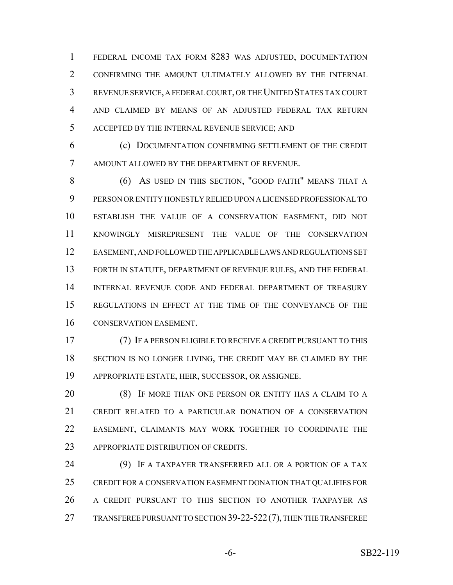FEDERAL INCOME TAX FORM 8283 WAS ADJUSTED, DOCUMENTATION CONFIRMING THE AMOUNT ULTIMATELY ALLOWED BY THE INTERNAL REVENUE SERVICE, A FEDERAL COURT, OR THE UNITED STATES TAX COURT AND CLAIMED BY MEANS OF AN ADJUSTED FEDERAL TAX RETURN ACCEPTED BY THE INTERNAL REVENUE SERVICE; AND

 (c) DOCUMENTATION CONFIRMING SETTLEMENT OF THE CREDIT AMOUNT ALLOWED BY THE DEPARTMENT OF REVENUE.

 (6) AS USED IN THIS SECTION, "GOOD FAITH" MEANS THAT A PERSON OR ENTITY HONESTLY RELIED UPON A LICENSED PROFESSIONAL TO ESTABLISH THE VALUE OF A CONSERVATION EASEMENT, DID NOT KNOWINGLY MISREPRESENT THE VALUE OF THE CONSERVATION EASEMENT, AND FOLLOWED THE APPLICABLE LAWS AND REGULATIONS SET FORTH IN STATUTE, DEPARTMENT OF REVENUE RULES, AND THE FEDERAL INTERNAL REVENUE CODE AND FEDERAL DEPARTMENT OF TREASURY REGULATIONS IN EFFECT AT THE TIME OF THE CONVEYANCE OF THE CONSERVATION EASEMENT.

 (7) IF A PERSON ELIGIBLE TO RECEIVE A CREDIT PURSUANT TO THIS 18 SECTION IS NO LONGER LIVING, THE CREDIT MAY BE CLAIMED BY THE APPROPRIATE ESTATE, HEIR, SUCCESSOR, OR ASSIGNEE.

 (8) IF MORE THAN ONE PERSON OR ENTITY HAS A CLAIM TO A CREDIT RELATED TO A PARTICULAR DONATION OF A CONSERVATION EASEMENT, CLAIMANTS MAY WORK TOGETHER TO COORDINATE THE 23 APPROPRIATE DISTRIBUTION OF CREDITS.

 (9) IF A TAXPAYER TRANSFERRED ALL OR A PORTION OF A TAX CREDIT FOR A CONSERVATION EASEMENT DONATION THAT QUALIFIES FOR A CREDIT PURSUANT TO THIS SECTION TO ANOTHER TAXPAYER AS 27 TRANSFEREE PURSUANT TO SECTION 39-22-522 (7), THEN THE TRANSFEREE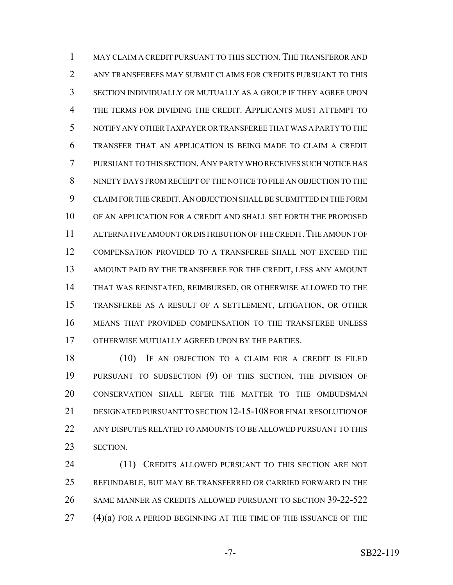MAY CLAIM A CREDIT PURSUANT TO THIS SECTION. THE TRANSFEROR AND ANY TRANSFEREES MAY SUBMIT CLAIMS FOR CREDITS PURSUANT TO THIS SECTION INDIVIDUALLY OR MUTUALLY AS A GROUP IF THEY AGREE UPON THE TERMS FOR DIVIDING THE CREDIT. APPLICANTS MUST ATTEMPT TO NOTIFY ANY OTHER TAXPAYER OR TRANSFEREE THAT WAS A PARTY TO THE TRANSFER THAT AN APPLICATION IS BEING MADE TO CLAIM A CREDIT PURSUANT TO THIS SECTION.ANY PARTY WHO RECEIVES SUCH NOTICE HAS NINETY DAYS FROM RECEIPT OF THE NOTICE TO FILE AN OBJECTION TO THE CLAIM FOR THE CREDIT.AN OBJECTION SHALL BE SUBMITTED IN THE FORM OF AN APPLICATION FOR A CREDIT AND SHALL SET FORTH THE PROPOSED ALTERNATIVE AMOUNT OR DISTRIBUTION OF THE CREDIT.THE AMOUNT OF COMPENSATION PROVIDED TO A TRANSFEREE SHALL NOT EXCEED THE AMOUNT PAID BY THE TRANSFEREE FOR THE CREDIT, LESS ANY AMOUNT THAT WAS REINSTATED, REIMBURSED, OR OTHERWISE ALLOWED TO THE TRANSFEREE AS A RESULT OF A SETTLEMENT, LITIGATION, OR OTHER MEANS THAT PROVIDED COMPENSATION TO THE TRANSFEREE UNLESS OTHERWISE MUTUALLY AGREED UPON BY THE PARTIES.

 (10) IF AN OBJECTION TO A CLAIM FOR A CREDIT IS FILED PURSUANT TO SUBSECTION (9) OF THIS SECTION, THE DIVISION OF CONSERVATION SHALL REFER THE MATTER TO THE OMBUDSMAN DESIGNATED PURSUANT TO SECTION 12-15-108 FOR FINAL RESOLUTION OF ANY DISPUTES RELATED TO AMOUNTS TO BE ALLOWED PURSUANT TO THIS SECTION.

24 (11) CREDITS ALLOWED PURSUANT TO THIS SECTION ARE NOT REFUNDABLE, BUT MAY BE TRANSFERRED OR CARRIED FORWARD IN THE SAME MANNER AS CREDITS ALLOWED PURSUANT TO SECTION 39-22-522 (4)(a) FOR A PERIOD BEGINNING AT THE TIME OF THE ISSUANCE OF THE